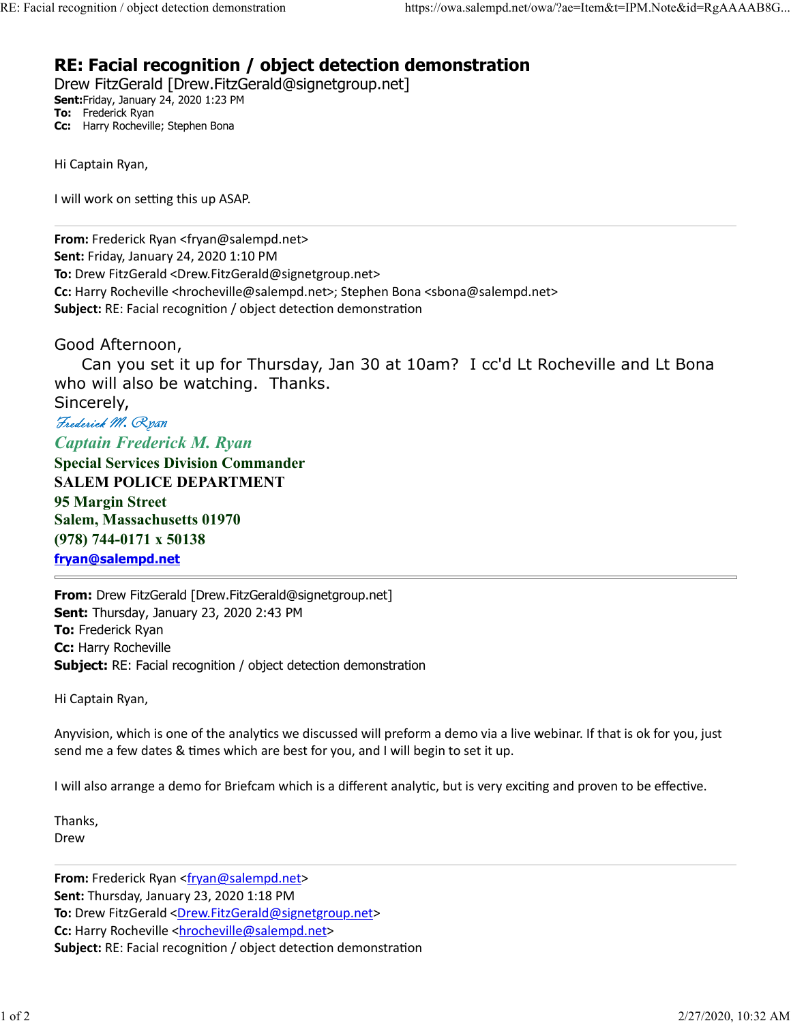## RE: Facial recognition / object detection demonstration RE: Facial recognition / object detection demonstration https://owa.salempd.net/owa/?ae=Item&t=IPM.Note&id=RgAAAAB8G...<br> **RE: Facial recognition / object detection demonstration**<br>
Drew FitzGerald [Drew.FitzGerald@signetgro

Drew FitzGerald [Drew.FitzGerald@signetgroup.net] Sent:Friday, January 24, 2020 1:23 PM To: Frederick Ryan Cc: Harry Rocheville; Stephen Bona

Hi Captain Ryan,

I will work on setting this up ASAP.

From: Frederick Ryan <fryan@salempd.net> Sent: Friday, January 24, 2020 1:10 PM To: Drew FitzGerald <Drew.FitzGerald@signetgroup.net> Cc: Harry Rocheville <hrocheville@salempd.net>; Stephen Bona <sbona@salempd.net> Subject: RE: Facial recognition / object detection demonstration **10.**<br>
Ficencio, Namille, Stephen Bona<br>
Ficencia, Namille, Stephen Bona<br>
Hi Captain Ryan,<br> **From:** Frederick Ryan <fryan@salempd.net><br> **Form:** Friday, January 24, 2020 1:10 PM<br> **To:** Drew FitzGerald <br/>cDrew.FitzGerald@s

Good Afternoon,

 Can you set it up for Thursday, Jan 30 at 10am? I cc'd Lt Rocheville and Lt Bona who will also be watching. Thanks.

Sincerely,

Captain Frederick M. Ryan Special Services Division Commander SALEM POLICE DEPARTMENT 95 Margin Street Salem, Massachusetts 01970 (978) 744-0171 x 50138 fryan@salempd.net

From: Drew FitzGerald [Drew.FitzGerald@signetgroup.net] Sent: Thursday, January 23, 2020 2:43 PM **To: Frederick Ryan** Cc: Harry Rocheville **Subject:** RE: Facial recognition / object detection demonstration

Hi Captain Ryan,

Anyvision, which is one of the analytics we discussed will preform a demo via a live webinar. If that is ok for you, just send me a few dates & times which are best for you, and I will begin to set it up.

I will also arrange a demo for Briefcam which is a different analytic, but is very exciting and proven to be effective.

Thanks, Drew **Drew Drew Drew** 

From: Frederick Ryan <fryan@salempd.net> Sent: Thursday, January 23, 2020 1:18 PM To: Drew FitzGerald <Drew.FitzGerald@signetgroup.net> Cc: Harry Rocheville <hrocheville@salempd.net> Subject: RE: Facial recognition / object detection demonstration